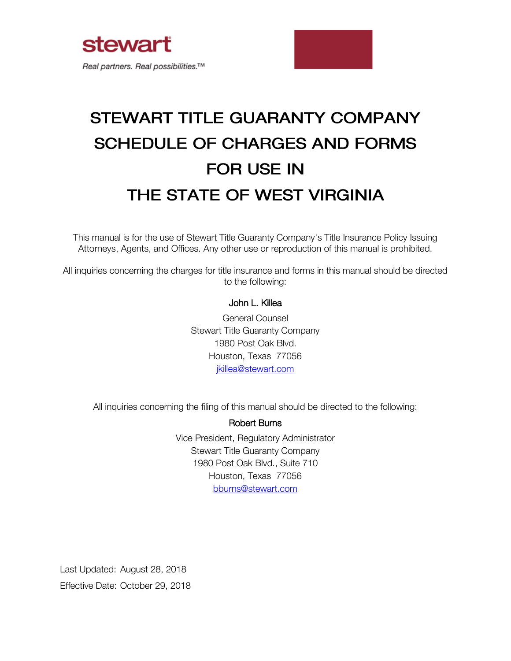



# STEWART TITLE GUARANTY COMPANY **SCHEDULE OF CHARGES AND FORMS FOR USE IN** THE STATE OF WEST VIRGINIA

This manual is for the use of Stewart Title Guaranty Company's Title Insurance Policy Issuing Attorneys, Agents, and Offices. Any other use or reproduction of this manual is prohibited.

All inquiries concerning the charges for title insurance and forms in this manual should be directed to the following:

# John L. Killea

General Counsel Stewart Title Guaranty Company 1980 Post Oak Blvd. Houston, Texas 77056 [jkillea@stewart.com](mailto:jkillea@stewart.com)

All inquiries concerning the filing of this manual should be directed to the following:

## Robert Burns

Vice President, Regulatory Administrator Stewart Title Guaranty Company 1980 Post Oak Blvd., Suite 710 Houston, Texas 77056 [bburns@stewart.com](mailto:bburns@stewart.com) 

Last Updated: August 28, 2018 Effective Date: October 29, 2018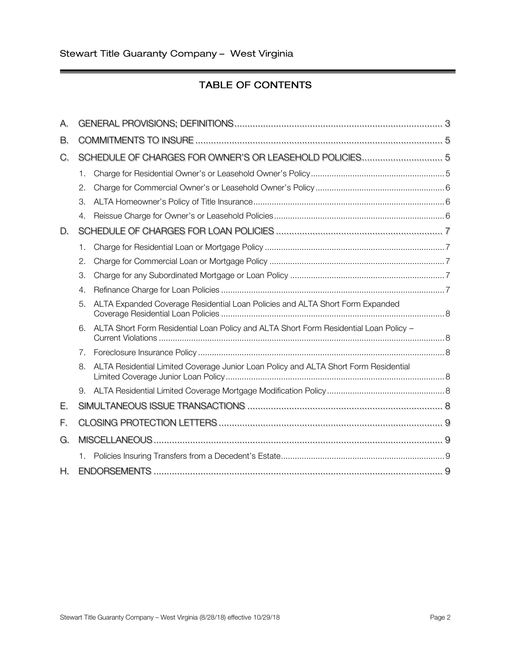֠

# **TABLE OF CONTENTS**

| А. |                |                                                                                       |  |  |
|----|----------------|---------------------------------------------------------------------------------------|--|--|
| В. |                |                                                                                       |  |  |
| C. |                | SCHEDULE OF CHARGES FOR OWNER'S OR LEASEHOLD POLICIES 5                               |  |  |
|    | 1.             |                                                                                       |  |  |
|    | 2.             |                                                                                       |  |  |
|    | 3.             |                                                                                       |  |  |
|    | 4.             |                                                                                       |  |  |
| D. |                |                                                                                       |  |  |
|    | 1.             |                                                                                       |  |  |
|    | 2.             |                                                                                       |  |  |
|    | 3.             |                                                                                       |  |  |
|    | 4.             |                                                                                       |  |  |
|    | 5.             | ALTA Expanded Coverage Residential Loan Policies and ALTA Short Form Expanded         |  |  |
|    | 6.             | ALTA Short Form Residential Loan Policy and ALTA Short Form Residential Loan Policy - |  |  |
|    | 7 <sub>1</sub> |                                                                                       |  |  |
|    | 8.             | ALTA Residential Limited Coverage Junior Loan Policy and ALTA Short Form Residential  |  |  |
|    | 9.             |                                                                                       |  |  |
| Е. |                |                                                                                       |  |  |
| F. |                |                                                                                       |  |  |
| G. |                |                                                                                       |  |  |
|    | 1.             |                                                                                       |  |  |
| Η. |                |                                                                                       |  |  |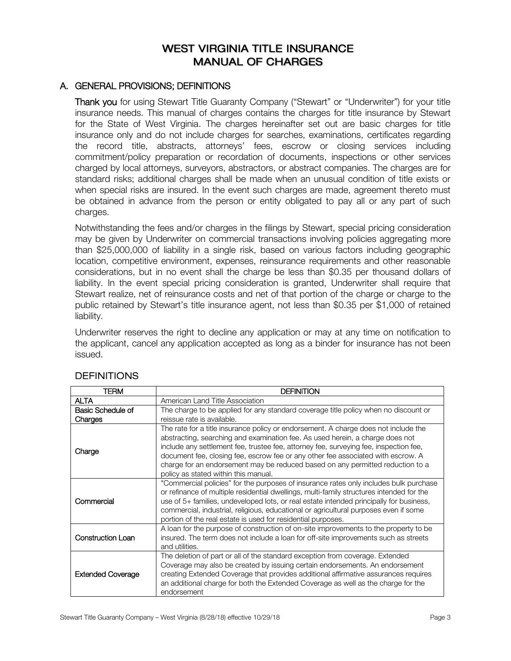# **WEST VIRGINIA TITLE INSURANCE MANUAL OF CHARGES**

#### <span id="page-2-0"></span>A. GENERAL PROVISIONS; DEFINITIONS

Thank you for using Stewart Title Guaranty Company ("Stewart" or "Underwriter") for your title insurance needs. This manual of charges contains the charges for title insurance by Stewart for the State of West Virginia. The charges hereinafter set out are basic charges for title insurance only and do not include charges for searches, examinations, certificates regarding the record title, abstracts, attorneys' fees, escrow or closing services including commitment/policy preparation or recordation of documents, inspections or other services charged by local attorneys, surveyors, abstractors, or abstract companies. The charges are for standard risks; additional charges shall be made when an unusual condition of title exists or when special risks are insured. In the event such charges are made, agreement thereto must be obtained in advance from the person or entity obligated to pay all or any part of such charges.

Notwithstanding the fees and/or charges in the filings by Stewart, special pricing consideration may be given by Underwriter on commercial transactions involving policies aggregating more than \$25,000,000 of liability in a single risk, based on various factors including geographic location, competitive environment, expenses, reinsurance requirements and other reasonable considerations, but in no event shall the charge be less than \$0.35 per thousand dollars of liability. In the event special pricing consideration is granted, Underwriter shall require that Stewart realize, net of reinsurance costs and net of that portion of the charge or charge to the public retained by Stewart's title insurance agent, not less than \$0.35 per \$1,000 of retained liability.

Underwriter reserves the right to decline any application or may at any time on notification to the applicant, cancel any application accepted as long as a binder for insurance has not been issued.

| TERM                                                                                                                                                                                                                                                                                                                                                                                                                                                                                  | <b>DEFINITION</b>                                                                                                                                                                                                                                                                                                                                                                                                                    |  |
|---------------------------------------------------------------------------------------------------------------------------------------------------------------------------------------------------------------------------------------------------------------------------------------------------------------------------------------------------------------------------------------------------------------------------------------------------------------------------------------|--------------------------------------------------------------------------------------------------------------------------------------------------------------------------------------------------------------------------------------------------------------------------------------------------------------------------------------------------------------------------------------------------------------------------------------|--|
| <b>ALTA</b>                                                                                                                                                                                                                                                                                                                                                                                                                                                                           | American Land Title Association                                                                                                                                                                                                                                                                                                                                                                                                      |  |
| Basic Schedule of                                                                                                                                                                                                                                                                                                                                                                                                                                                                     | The charge to be applied for any standard coverage title policy when no discount or                                                                                                                                                                                                                                                                                                                                                  |  |
| Charges                                                                                                                                                                                                                                                                                                                                                                                                                                                                               | reissue rate is available.                                                                                                                                                                                                                                                                                                                                                                                                           |  |
| The rate for a title insurance policy or endorsement. A charge does not include the<br>abstracting, searching and examination fee. As used herein, a charge does not<br>include any settlement fee, trustee fee, attorney fee, surveying fee, inspection fee,<br>Charge<br>document fee, closing fee, escrow fee or any other fee associated with escrow. A<br>charge for an endorsement may be reduced based on any permitted reduction to a<br>policy as stated within this manual. |                                                                                                                                                                                                                                                                                                                                                                                                                                      |  |
| Commercial                                                                                                                                                                                                                                                                                                                                                                                                                                                                            | "Commercial policies" for the purposes of insurance rates only includes bulk purchase<br>or refinance of multiple residential dwellings, multi-family structures intended for the<br>use of 5+ families, undeveloped lots, or real estate intended principally for business,<br>commercial, industrial, religious, educational or agricultural purposes even if some<br>portion of the real estate is used for residential purposes. |  |
| <b>Construction Loan</b>                                                                                                                                                                                                                                                                                                                                                                                                                                                              | A loan for the purpose of construction of on-site improvements to the property to be<br>insured. The term does not include a loan for off-site improvements such as streets<br>and utilities.                                                                                                                                                                                                                                        |  |
| <b>Extended Coverage</b>                                                                                                                                                                                                                                                                                                                                                                                                                                                              | The deletion of part or all of the standard exception from coverage. Extended<br>Coverage may also be created by issuing certain endorsements. An endorsement<br>creating Extended Coverage that provides additional affirmative assurances requires<br>an additional charge for both the Extended Coverage as well as the charge for the<br>endorsement                                                                             |  |

# **DEFINITIONS**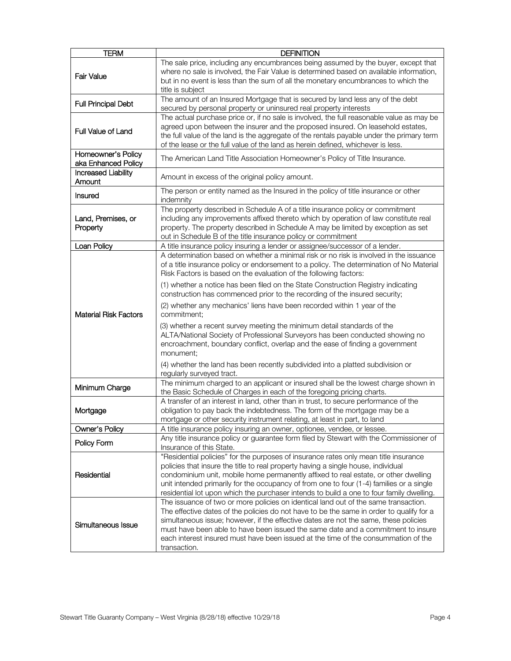| <b>TERM</b>                                                                                                                                                                                                                                                                                                                                                                                                                                                                             | <b>DEFINITION</b>                                                                                                                                                                                                                                                                                                                                                                                                                                                                                                                                                                                |
|-----------------------------------------------------------------------------------------------------------------------------------------------------------------------------------------------------------------------------------------------------------------------------------------------------------------------------------------------------------------------------------------------------------------------------------------------------------------------------------------|--------------------------------------------------------------------------------------------------------------------------------------------------------------------------------------------------------------------------------------------------------------------------------------------------------------------------------------------------------------------------------------------------------------------------------------------------------------------------------------------------------------------------------------------------------------------------------------------------|
| <b>Fair Value</b>                                                                                                                                                                                                                                                                                                                                                                                                                                                                       | The sale price, including any encumbrances being assumed by the buyer, except that<br>where no sale is involved, the Fair Value is determined based on available information,<br>but in no event is less than the sum of all the monetary encumbrances to which the<br>title is subject                                                                                                                                                                                                                                                                                                          |
| <b>Full Principal Debt</b>                                                                                                                                                                                                                                                                                                                                                                                                                                                              | The amount of an Insured Mortgage that is secured by land less any of the debt<br>secured by personal property or uninsured real property interests                                                                                                                                                                                                                                                                                                                                                                                                                                              |
| Full Value of Land                                                                                                                                                                                                                                                                                                                                                                                                                                                                      | The actual purchase price or, if no sale is involved, the full reasonable value as may be<br>agreed upon between the insurer and the proposed insured. On leasehold estates,<br>the full value of the land is the aggregate of the rentals payable under the primary term<br>of the lease or the full value of the land as herein defined, whichever is less.                                                                                                                                                                                                                                    |
| Homeowner's Policy<br>aka Enhanced Policy                                                                                                                                                                                                                                                                                                                                                                                                                                               | The American Land Title Association Homeowner's Policy of Title Insurance.                                                                                                                                                                                                                                                                                                                                                                                                                                                                                                                       |
| <b>Increased Liability</b><br>Amount                                                                                                                                                                                                                                                                                                                                                                                                                                                    | Amount in excess of the original policy amount.                                                                                                                                                                                                                                                                                                                                                                                                                                                                                                                                                  |
| Insured                                                                                                                                                                                                                                                                                                                                                                                                                                                                                 | The person or entity named as the Insured in the policy of title insurance or other<br>indemnity                                                                                                                                                                                                                                                                                                                                                                                                                                                                                                 |
| Land, Premises, or<br>Property                                                                                                                                                                                                                                                                                                                                                                                                                                                          | The property described in Schedule A of a title insurance policy or commitment<br>including any improvements affixed thereto which by operation of law constitute real<br>property. The property described in Schedule A may be limited by exception as set<br>out in Schedule B of the title insurance policy or commitment                                                                                                                                                                                                                                                                     |
| Loan Policy                                                                                                                                                                                                                                                                                                                                                                                                                                                                             | A title insurance policy insuring a lender or assignee/successor of a lender.                                                                                                                                                                                                                                                                                                                                                                                                                                                                                                                    |
| <b>Material Risk Factors</b>                                                                                                                                                                                                                                                                                                                                                                                                                                                            | A determination based on whether a minimal risk or no risk is involved in the issuance<br>of a title insurance policy or endorsement to a policy. The determination of No Material<br>Risk Factors is based on the evaluation of the following factors:<br>(1) whether a notice has been filed on the State Construction Registry indicating<br>construction has commenced prior to the recording of the insured security;<br>(2) whether any mechanics' liens have been recorded within 1 year of the<br>commitment;<br>(3) whether a recent survey meeting the minimum detail standards of the |
|                                                                                                                                                                                                                                                                                                                                                                                                                                                                                         | ALTA/National Society of Professional Surveyors has been conducted showing no<br>encroachment, boundary conflict, overlap and the ease of finding a government<br>monument;<br>(4) whether the land has been recently subdivided into a platted subdivision or<br>regularly surveyed tract.                                                                                                                                                                                                                                                                                                      |
| Minimum Charge                                                                                                                                                                                                                                                                                                                                                                                                                                                                          | The minimum charged to an applicant or insured shall be the lowest charge shown in<br>the Basic Schedule of Charges in each of the foregoing pricing charts.                                                                                                                                                                                                                                                                                                                                                                                                                                     |
| Mortgage                                                                                                                                                                                                                                                                                                                                                                                                                                                                                | A transfer of an interest in land, other than in trust, to secure performance of the<br>obligation to pay back the indebtedness. The form of the mortgage may be a<br>mortgage or other security instrument relating, at least in part, to land                                                                                                                                                                                                                                                                                                                                                  |
| Owner's Policy                                                                                                                                                                                                                                                                                                                                                                                                                                                                          | A title insurance policy insuring an owner, optionee, vendee, or lessee.                                                                                                                                                                                                                                                                                                                                                                                                                                                                                                                         |
| Policy Form                                                                                                                                                                                                                                                                                                                                                                                                                                                                             | Any title insurance policy or guarantee form filed by Stewart with the Commissioner of<br>Insurance of this State.                                                                                                                                                                                                                                                                                                                                                                                                                                                                               |
| Residential                                                                                                                                                                                                                                                                                                                                                                                                                                                                             | "Residential policies" for the purposes of insurance rates only mean title insurance<br>policies that insure the title to real property having a single house, individual<br>condominium unit, mobile home permanently affixed to real estate, or other dwelling<br>unit intended primarily for the occupancy of from one to four (1-4) families or a single<br>residential lot upon which the purchaser intends to build a one to four family dwelling.                                                                                                                                         |
| The issuance of two or more policies on identical land out of the same transaction.<br>The effective dates of the policies do not have to be the same in order to qualify for a<br>simultaneous issue; however, if the effective dates are not the same, these policies<br>Simultaneous Issue<br>must have been able to have been issued the same date and a commitment to insure<br>each interest insured must have been issued at the time of the consummation of the<br>transaction. |                                                                                                                                                                                                                                                                                                                                                                                                                                                                                                                                                                                                  |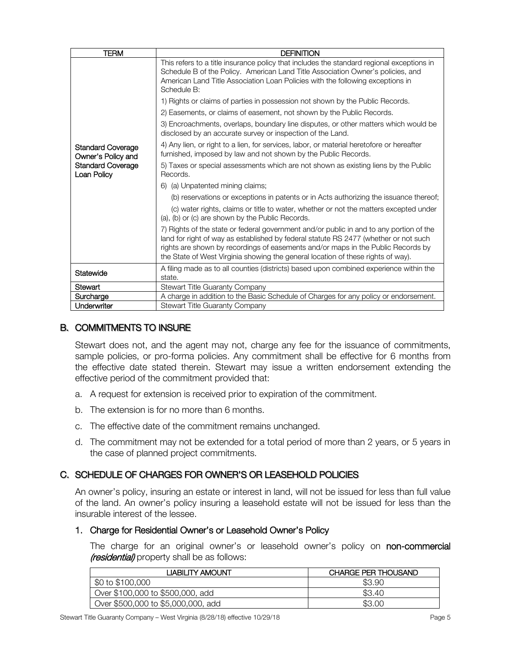| <b>TERM</b>                                    | <b>DEFINITION</b>                                                                                                                                                                                                                                                                                                                                       |
|------------------------------------------------|---------------------------------------------------------------------------------------------------------------------------------------------------------------------------------------------------------------------------------------------------------------------------------------------------------------------------------------------------------|
|                                                | This refers to a title insurance policy that includes the standard regional exceptions in<br>Schedule B of the Policy. American Land Title Association Owner's policies, and<br>American Land Title Association Loan Policies with the following exceptions in<br>Schedule B:                                                                           |
|                                                | 1) Rights or claims of parties in possession not shown by the Public Records.                                                                                                                                                                                                                                                                           |
|                                                | 2) Easements, or claims of easement, not shown by the Public Records.                                                                                                                                                                                                                                                                                   |
|                                                | 3) Encroachments, overlaps, boundary line disputes, or other matters which would be<br>disclosed by an accurate survey or inspection of the Land.                                                                                                                                                                                                       |
| <b>Standard Coverage</b><br>Owner's Policy and | 4) Any lien, or right to a lien, for services, labor, or material heretofore or hereafter<br>furnished, imposed by law and not shown by the Public Records.                                                                                                                                                                                             |
| <b>Standard Coverage</b><br>Loan Policy        | 5) Taxes or special assessments which are not shown as existing liens by the Public<br>Records.                                                                                                                                                                                                                                                         |
|                                                | 6) (a) Unpatented mining claims;                                                                                                                                                                                                                                                                                                                        |
|                                                | (b) reservations or exceptions in patents or in Acts authorizing the issuance thereof;                                                                                                                                                                                                                                                                  |
|                                                | (c) water rights, claims or title to water, whether or not the matters excepted under<br>(a), (b) or (c) are shown by the Public Records.                                                                                                                                                                                                               |
|                                                | 7) Rights of the state or federal government and/or public in and to any portion of the<br>land for right of way as established by federal statute RS 2477 (whether or not such<br>rights are shown by recordings of easements and/or maps in the Public Records by<br>the State of West Virginia showing the general location of these rights of way). |
| Statewide                                      | A filing made as to all counties (districts) based upon combined experience within the<br>state.                                                                                                                                                                                                                                                        |
| Stewart                                        | <b>Stewart Title Guaranty Company</b>                                                                                                                                                                                                                                                                                                                   |
| Surcharge                                      | A charge in addition to the Basic Schedule of Charges for any policy or endorsement.                                                                                                                                                                                                                                                                    |
| Underwriter                                    | <b>Stewart Title Guaranty Company</b>                                                                                                                                                                                                                                                                                                                   |

# <span id="page-4-0"></span>B. COMMITMENTS TO INSURE

Stewart does not, and the agent may not, charge any fee for the issuance of commitments, sample policies, or pro-forma policies. Any commitment shall be effective for 6 months from the effective date stated therein. Stewart may issue a written endorsement extending the effective period of the commitment provided that:

- a. A request for extension is received prior to expiration of the commitment.
- b. The extension is for no more than 6 months.
- c. The effective date of the commitment remains unchanged.
- d. The commitment may not be extended for a total period of more than 2 years, or 5 years in the case of planned project commitments.

# <span id="page-4-1"></span>C. SCHEDULE OF CHARGES FOR OWNER'S OR LEASEHOLD POLICIES

An owner's policy, insuring an estate or interest in land, will not be issued for less than full value of the land. An owner's policy insuring a leasehold estate will not be issued for less than the insurable interest of the lessee.

#### <span id="page-4-2"></span>1. Charge for Residential Owner's or Leasehold Owner's Policy

The charge for an original owner's or leasehold owner's policy on non-commercial (residential) property shall be as follows:

| JABILITY AMOUNT                    | <b>CHARGE PER THOUSAND</b> |
|------------------------------------|----------------------------|
| \$0 to \$100,000                   | \$3.90                     |
| Over \$100,000 to \$500,000, add   | \$3.40                     |
| Over \$500,000 to \$5,000,000, add | \$3.00                     |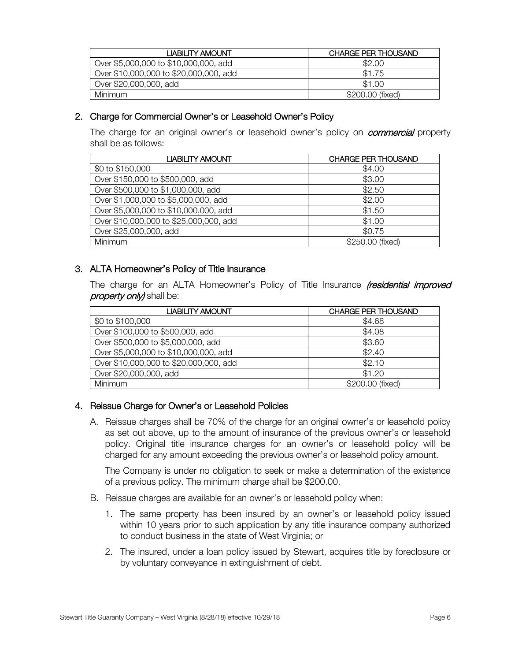| <b>LIABILITY AMOUNT</b>                | <b>CHARGE PER THOUSAND</b> |
|----------------------------------------|----------------------------|
| Over \$5,000,000 to \$10,000,000, add  | \$2.00                     |
| Over \$10,000,000 to \$20,000,000, add | \$1.75                     |
| Over \$20,000,000, add                 | \$1.00                     |
| <b>Minimum</b>                         | \$200.00 (fixed)           |

# <span id="page-5-0"></span>2. Charge for Commercial Owner's or Leasehold Owner's Policy

The charge for an original owner's or leasehold owner's policy on *commercial* property shall be as follows:

| LIABILITY AMOUNT                       | <b>CHARGE PER THOUSAND</b> |
|----------------------------------------|----------------------------|
| \$0 to \$150,000                       | \$4.00                     |
| Over \$150,000 to \$500,000, add       | \$3.00                     |
| Over \$500,000 to \$1,000,000, add     | \$2.50                     |
| Over \$1,000,000 to \$5,000,000, add   | \$2.00                     |
| Over \$5,000,000 to \$10,000,000, add  | \$1.50                     |
| Over \$10,000,000 to \$25,000,000, add | \$1.00                     |
| Over \$25,000,000, add                 | \$0.75                     |
| Minimum                                | \$250.00 (fixed)           |

# <span id="page-5-1"></span>3. ALTA Homeowner's Policy of Title Insurance

The charge for an ALTA Homeowner's Policy of Title Insurance *(residential improved* property only) shall be:

| LIABILITY AMOUNT                       | <b>CHARGE PER THOUSAND</b> |
|----------------------------------------|----------------------------|
| \$0 to \$100,000                       | \$4.68                     |
| Over \$100,000 to \$500,000, add       | \$4.08                     |
| Over \$500,000 to \$5,000,000, add     | \$3.60                     |
| Over \$5,000,000 to \$10,000,000, add  | \$2.40                     |
| Over \$10,000,000 to \$20,000,000, add | \$2.10                     |
| Over \$20,000,000, add                 | \$1.20                     |
| Minimum                                | \$200.00 (fixed)           |

# <span id="page-5-2"></span>4. Reissue Charge for Owner's or Leasehold Policies

A. Reissue charges shall be 70% of the charge for an original owner's or leasehold policy as set out above, up to the amount of insurance of the previous owner's or leasehold policy. Original title insurance charges for an owner's or leasehold policy will be charged for any amount exceeding the previous owner's or leasehold policy amount.

The Company is under no obligation to seek or make a determination of the existence of a previous policy. The minimum charge shall be \$200.00.

- B. Reissue charges are available for an owner's or leasehold policy when:
	- 1. The same property has been insured by an owner's or leasehold policy issued within 10 years prior to such application by any title insurance company authorized to conduct business in the state of West Virginia; or
	- 2. The insured, under a loan policy issued by Stewart, acquires title by foreclosure or by voluntary conveyance in extinguishment of debt.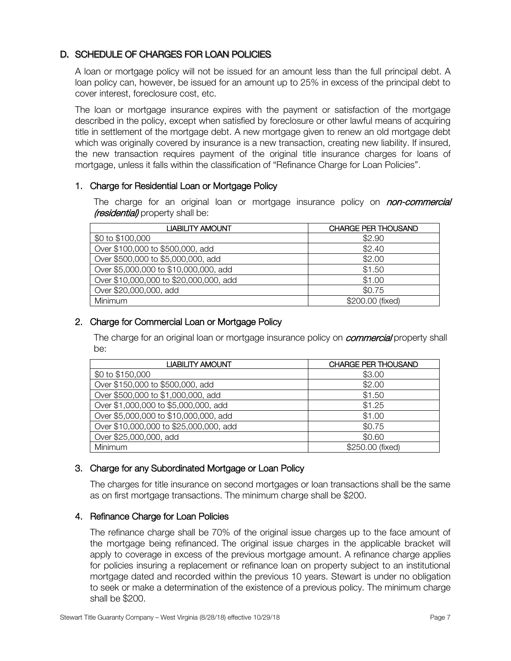# <span id="page-6-0"></span>D. SCHEDULE OF CHARGES FOR LOAN POLICIES

A loan or mortgage policy will not be issued for an amount less than the full principal debt. A loan policy can, however, be issued for an amount up to 25% in excess of the principal debt to cover interest, foreclosure cost, etc.

The loan or mortgage insurance expires with the payment or satisfaction of the mortgage described in the policy, except when satisfied by foreclosure or other lawful means of acquiring title in settlement of the mortgage debt. A new mortgage given to renew an old mortgage debt which was originally covered by insurance is a new transaction, creating new liability. If insured, the new transaction requires payment of the original title insurance charges for loans of mortgage, unless it falls within the classification of "Refinance Charge for Loan Policies".

# <span id="page-6-1"></span>1. Charge for Residential Loan or Mortgage Policy

The charge for an original loan or mortgage insurance policy on *non-commercial (residential)* property shall be:

| LIABILITY AMOUNT                       | <b>CHARGE PER THOUSAND</b> |
|----------------------------------------|----------------------------|
| \$0 to \$100,000                       | \$2.90                     |
| Over \$100,000 to \$500,000, add       | \$2.40                     |
| Over \$500,000 to \$5,000,000, add     | \$2.00                     |
| Over \$5,000,000 to \$10,000,000, add  | \$1.50                     |
| Over \$10,000,000 to \$20,000,000, add | \$1.00                     |
| Over \$20,000,000, add                 | \$0.75                     |
| Minimum                                | \$200.00 (fixed)           |

# <span id="page-6-2"></span>2. Charge for Commercial Loan or Mortgage Policy

The charge for an original loan or mortgage insurance policy on *commercial* property shall be:

| <b>LIABILITY AMOUNT</b>                | <b>CHARGE PER THOUSAND</b> |
|----------------------------------------|----------------------------|
| \$0 to \$150,000                       | \$3.00                     |
| Over \$150,000 to \$500,000, add       | \$2.00                     |
| Over \$500,000 to \$1,000,000, add     | \$1.50                     |
| Over \$1,000,000 to \$5,000,000, add   | \$1.25                     |
| Over \$5,000,000 to \$10,000,000, add  | \$1.00                     |
| Over \$10,000,000 to \$25,000,000, add | \$0.75                     |
| Over \$25,000,000, add                 | \$0.60                     |
| Minimum                                | \$250.00 (fixed)           |

# <span id="page-6-3"></span>3. Charge for any Subordinated Mortgage or Loan Policy

The charges for title insurance on second mortgages or loan transactions shall be the same as on first mortgage transactions. The minimum charge shall be \$200.

## <span id="page-6-4"></span>4. Refinance Charge for Loan Policies

The refinance charge shall be 70% of the original issue charges up to the face amount of the mortgage being refinanced. The original issue charges in the applicable bracket will apply to coverage in excess of the previous mortgage amount. A refinance charge applies for policies insuring a replacement or refinance loan on property subject to an institutional mortgage dated and recorded within the previous 10 years. Stewart is under no obligation to seek or make a determination of the existence of a previous policy. The minimum charge shall be \$200.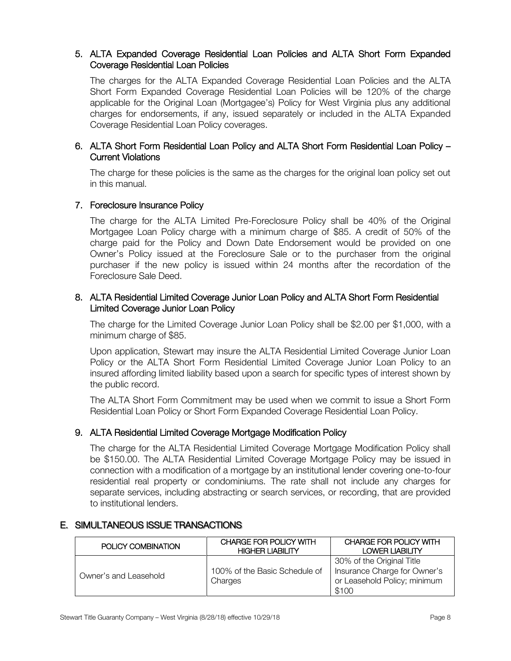## <span id="page-7-0"></span> 5. ALTA Expanded Coverage Residential Loan Policies and ALTA Short Form Expanded Coverage Residential Loan Policies

The charges for the ALTA Expanded Coverage Residential Loan Policies and the ALTA Short Form Expanded Coverage Residential Loan Policies will be 120% of the charge applicable for the Original Loan (Mortgagee's) Policy for West Virginia plus any additional charges for endorsements, if any, issued separately or included in the ALTA Expanded Coverage Residential Loan Policy coverages.

# <span id="page-7-1"></span> 6. ALTA Short Form Residential Loan Policy and ALTA Short Form Residential Loan Policy – Current Violations

The charge for these policies is the same as the charges for the original loan policy set out in this manual.

## <span id="page-7-2"></span>7. Foreclosure Insurance Policy

The charge for the ALTA Limited Pre-Foreclosure Policy shall be 40% of the Original Mortgagee Loan Policy charge with a minimum charge of \$85. A credit of 50% of the charge paid for the Policy and Down Date Endorsement would be provided on one Owner's Policy issued at the Foreclosure Sale or to the purchaser from the original purchaser if the new policy is issued within 24 months after the recordation of the Foreclosure Sale Deed.

## <span id="page-7-3"></span> 8. ALTA Residential Limited Coverage Junior Loan Policy and ALTA Short Form Residential Limited Coverage Junior Loan Policy

The charge for the Limited Coverage Junior Loan Policy shall be \$2.00 per \$1,000, with a minimum charge of \$85.

Upon application, Stewart may insure the ALTA Residential Limited Coverage Junior Loan Policy or the ALTA Short Form Residential Limited Coverage Junior Loan Policy to an insured affording limited liability based upon a search for specific types of interest shown by the public record.

The ALTA Short Form Commitment may be used when we commit to issue a Short Form Residential Loan Policy or Short Form Expanded Coverage Residential Loan Policy.

## <span id="page-7-4"></span>9. ALTA Residential Limited Coverage Mortgage Modification Policy

The charge for the ALTA Residential Limited Coverage Mortgage Modification Policy shall be \$150.00. The ALTA Residential Limited Coverage Mortgage Policy may be issued in connection with a modification of a mortgage by an institutional lender covering one-to-four residential real property or condominiums. The rate shall not include any charges for separate services, including abstracting or search services, or recording, that are provided to institutional lenders.

## <span id="page-7-5"></span>E. SIMULTANEOUS ISSUE TRANSACTIONS

| POLICY COMBINATION    | CHARGE FOR POLICY WITH<br><b>HIGHER LIABILITY</b> | CHARGE FOR POLICY WITH<br>LOWER LIABILITY                                                          |
|-----------------------|---------------------------------------------------|----------------------------------------------------------------------------------------------------|
| Owner's and Leasehold | 100% of the Basic Schedule of<br>Charges          | 30% of the Original Title<br>Insurance Charge for Owner's<br>or Leasehold Policy; minimum<br>\$100 |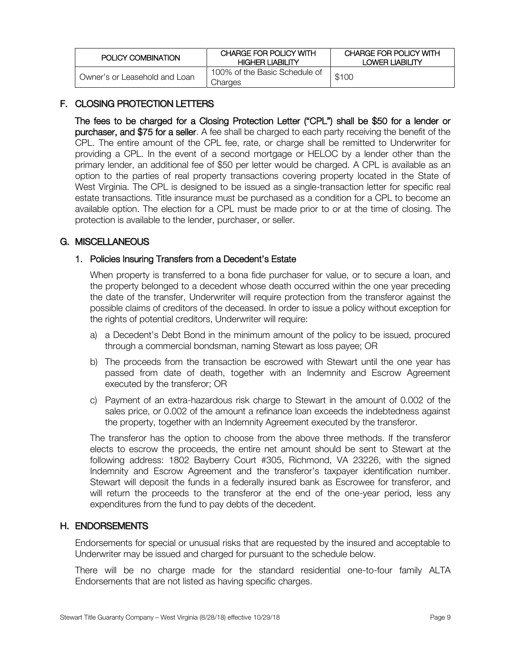| POLICY COMBINATION            | CHARGE FOR POLICY WITH<br><b>HIGHER LIABILITY</b> | CHARGE FOR POLICY WITH<br><b>LOWER LIABILITY</b> |
|-------------------------------|---------------------------------------------------|--------------------------------------------------|
| Owner's or Leasehold and Loan | 100% of the Basic Schedule of<br>Charges          | \$100                                            |

# <span id="page-8-0"></span>F. CLOSING PROTECTION LETTERS

The fees to be charged for a Closing Protection Letter ("CPL") shall be \$50 for a lender or purchaser, and \$75 for a seller. A fee shall be charged to each party receiving the benefit of the CPL. The entire amount of the CPL fee, rate, or charge shall be remitted to Underwriter for providing a CPL. In the event of a second mortgage or HELOC by a lender other than the primary lender, an additional fee of \$50 per letter would be charged. A CPL is available as an option to the parties of real property transactions covering property located in the State of West Virginia. The CPL is designed to be issued as a single-transaction letter for specific real estate transactions. Title insurance must be purchased as a condition for a CPL to become an available option. The election for a CPL must be made prior to or at the time of closing. The protection is available to the lender, purchaser, or seller.

# <span id="page-8-1"></span>G. MISCELLANEOUS

## <span id="page-8-2"></span>1. Policies Insuring Transfers from a Decedent's Estate

When property is transferred to a bona fide purchaser for value, or to secure a loan, and the property belonged to a decedent whose death occurred within the one year preceding the date of the transfer, Underwriter will require protection from the transferor against the possible claims of creditors of the deceased. In order to issue a policy without exception for the rights of potential creditors, Underwriter will require:

- a) a Decedent's Debt Bond in the minimum amount of the policy to be issued, procured through a commercial bondsman, naming Stewart as loss payee; OR
- b) The proceeds from the transaction be escrowed with Stewart until the one year has passed from date of death, together with an Indemnity and Escrow Agreement executed by the transferor; OR
- c) Payment of an extra-hazardous risk charge to Stewart in the amount of 0.002 of the sales price, or 0.002 of the amount a refinance loan exceeds the indebtedness against the property, together with an Indemnity Agreement executed by the transferor.

The transferor has the option to choose from the above three methods. If the transferor elects to escrow the proceeds, the entire net amount should be sent to Stewart at the following address: 1802 Bayberry Court #305, Richmond, VA 23226, with the signed Indemnity and Escrow Agreement and the transferor's taxpayer identification number. Stewart will deposit the funds in a federally insured bank as Escrowee for transferor, and will return the proceeds to the transferor at the end of the one-year period, less any expenditures from the fund to pay debts of the decedent.

## <span id="page-8-3"></span>H. ENDORSEMENTS

Endorsements for special or unusual risks that are requested by the insured and acceptable to Underwriter may be issued and charged for pursuant to the schedule below.

There will be no charge made for the standard residential one-to-four family ALTA Endorsements that are not listed as having specific charges.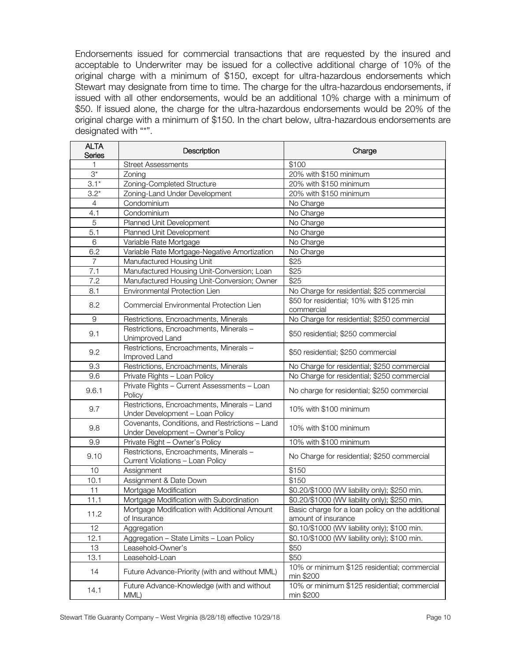Endorsements issued for commercial transactions that are requested by the insured and acceptable to Underwriter may be issued for a collective additional charge of 10% of the original charge with a minimum of \$150, except for ultra-hazardous endorsements which Stewart may designate from time to time. The charge for the ultra-hazardous endorsements, if issued with all other endorsements, would be an additional 10% charge with a minimum of \$50. If issued alone, the charge for the ultra-hazardous endorsements would be 20% of the original charge with a minimum of \$150. In the chart below, ultra-hazardous endorsements are designated with "\*".

| <b>ALTA</b><br>Series | Description                                                                          | Charge                                                    |
|-----------------------|--------------------------------------------------------------------------------------|-----------------------------------------------------------|
| 1                     | <b>Street Assessments</b>                                                            | \$100                                                     |
| $3^*$                 | Zoning                                                                               | 20% with \$150 minimum                                    |
| $3.1*$                | Zoning-Completed Structure                                                           | 20% with \$150 minimum                                    |
| $\overline{3.2}^*$    | Zoning-Land Under Development                                                        | 20% with \$150 minimum                                    |
| $\overline{4}$        | Condominium                                                                          | No Charge                                                 |
| 4.1                   | Condominium                                                                          | No Charge                                                 |
| $\overline{5}$        | Planned Unit Development                                                             | No Charge                                                 |
| 5.1                   | Planned Unit Development                                                             | No Charge                                                 |
| 6                     | Variable Rate Mortgage                                                               | No Charge                                                 |
| 6.2                   | Variable Rate Mortgage-Negative Amortization                                         | No Charge                                                 |
| $\overline{7}$        | Manufactured Housing Unit                                                            | \$25                                                      |
| 7.1                   | Manufactured Housing Unit-Conversion; Loan                                           | \$25                                                      |
| 7.2                   | Manufactured Housing Unit-Conversion; Owner                                          | \$25                                                      |
| 8.1                   | Environmental Protection Lien                                                        | No Charge for residential; \$25 commercial                |
|                       |                                                                                      | \$50 for residential; 10% with \$125 min                  |
| 8.2                   | Commercial Environmental Protection Lien                                             | commercial                                                |
| 9                     | Restrictions, Encroachments, Minerals                                                | No Charge for residential; \$250 commercial               |
| 9.1                   | Restrictions, Encroachments, Minerals-                                               | \$50 residential; \$250 commercial                        |
|                       | Unimproved Land                                                                      |                                                           |
| 9.2                   | Restrictions, Encroachments, Minerals-                                               | \$50 residential; \$250 commercial                        |
|                       | Improved Land                                                                        |                                                           |
| 9.3                   | Restrictions, Encroachments, Minerals                                                | No Charge for residential; \$250 commercial               |
| 9.6                   | Private Rights - Loan Policy                                                         | No Charge for residential; \$250 commercial               |
| 9.6.1                 | Private Rights - Current Assessments - Loan<br>Policy                                | No charge for residential; \$250 commercial               |
| 9.7                   | Restrictions, Encroachments, Minerals - Land<br>Under Development - Loan Policy      | 10% with \$100 minimum                                    |
| 9.8                   | Covenants, Conditions, and Restrictions - Land<br>Under Development - Owner's Policy | 10% with \$100 minimum                                    |
| 9.9                   | Private Right - Owner's Policy                                                       | 10% with \$100 minimum                                    |
| 9.10                  | Restrictions, Encroachments, Minerals -<br>Current Violations - Loan Policy          | No Charge for residential; \$250 commercial               |
| 10                    | Assignment                                                                           | \$150                                                     |
| 10.1                  | Assignment & Date Down                                                               | \$150                                                     |
| 11                    | Mortgage Modification                                                                | \$0.20/\$1000 (WV liability only); \$250 min.             |
| 11.1                  | Mortgage Modification with Subordination                                             | \$0.20/\$1000 (WV liability only); \$250 min.             |
|                       | Mortgage Modification with Additional Amount                                         | Basic charge for a loan policy on the additional          |
| 11.2                  | of Insurance                                                                         | amount of insurance                                       |
| 12                    | Aggregation                                                                          | \$0.10/\$1000 (WV liability only); \$100 min.             |
| 12.1                  | Aggregation - State Limits - Loan Policy                                             | \$0.10/\$1000 (WV liability only); \$100 min.             |
| 13                    | Leasehold-Owner's                                                                    | \$50                                                      |
| 13.1                  | Leasehold-Loan                                                                       | \$50                                                      |
| 14                    | Future Advance-Priority (with and without MML)                                       | 10% or minimum \$125 residential; commercial<br>min \$200 |
| 14.1                  | Future Advance-Knowledge (with and without<br>MML)                                   | 10% or minimum \$125 residential; commercial<br>min \$200 |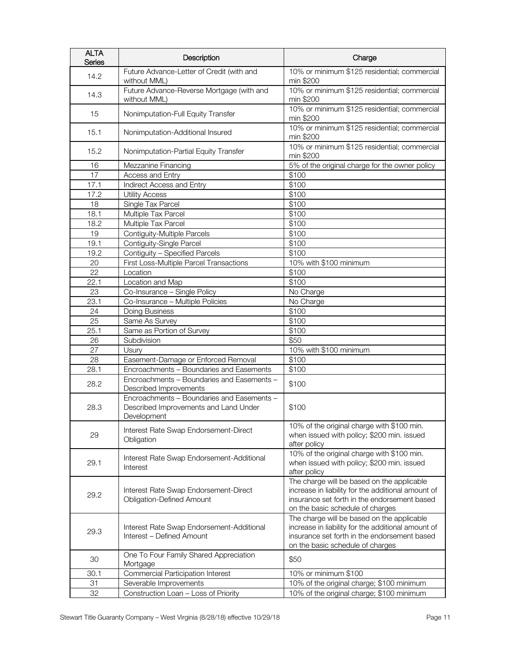| <b>ALTA</b><br><b>Series</b> | Description                                                                                        | Charge                                                                                                                                                                               |
|------------------------------|----------------------------------------------------------------------------------------------------|--------------------------------------------------------------------------------------------------------------------------------------------------------------------------------------|
| 14.2                         | Future Advance-Letter of Credit (with and<br>without MML)                                          | 10% or minimum \$125 residential; commercial<br>min \$200                                                                                                                            |
| 14.3                         | Future Advance-Reverse Mortgage (with and<br>without MML)                                          | 10% or minimum \$125 residential; commercial<br>min \$200                                                                                                                            |
| 15                           | Nonimputation-Full Equity Transfer                                                                 | 10% or minimum \$125 residential; commercial<br>min \$200                                                                                                                            |
| 15.1                         | Nonimputation-Additional Insured                                                                   | 10% or minimum \$125 residential; commercial<br>min \$200                                                                                                                            |
| 15.2                         | Nonimputation-Partial Equity Transfer                                                              | 10% or minimum \$125 residential; commercial<br>min \$200                                                                                                                            |
| 16                           | Mezzanine Financing                                                                                | 5% of the original charge for the owner policy                                                                                                                                       |
| 17                           | Access and Entry                                                                                   | \$100                                                                                                                                                                                |
| 17.1                         | Indirect Access and Entry                                                                          | \$100                                                                                                                                                                                |
| 17.2                         | <b>Utility Access</b>                                                                              | \$100                                                                                                                                                                                |
| 18                           | Single Tax Parcel                                                                                  | \$100                                                                                                                                                                                |
| 18.1                         | Multiple Tax Parcel                                                                                | \$100                                                                                                                                                                                |
| 18.2                         | Multiple Tax Parcel                                                                                | \$100                                                                                                                                                                                |
| 19                           | Contiguity-Multiple Parcels                                                                        | \$100                                                                                                                                                                                |
| 19.1                         | Contiguity-Single Parcel                                                                           | \$100                                                                                                                                                                                |
| 19.2                         | Contiguity - Specified Parcels                                                                     | \$100                                                                                                                                                                                |
| 20                           | First Loss-Multiple Parcel Transactions                                                            | 10% with \$100 minimum                                                                                                                                                               |
| 22                           | Location                                                                                           | \$100                                                                                                                                                                                |
| 22.1                         | Location and Map                                                                                   | \$100                                                                                                                                                                                |
| 23                           | Co-Insurance - Single Policy                                                                       | No Charge                                                                                                                                                                            |
| 23.1                         | Co-Insurance - Multiple Policies                                                                   | No Charge                                                                                                                                                                            |
| 24                           | Doing Business                                                                                     | \$100                                                                                                                                                                                |
| 25                           | Same As Survey                                                                                     | \$100                                                                                                                                                                                |
| 25.1                         | Same as Portion of Survey                                                                          | \$100                                                                                                                                                                                |
| 26                           | Subdivision                                                                                        | \$50                                                                                                                                                                                 |
| 27                           | Usury                                                                                              | 10% with \$100 minimum                                                                                                                                                               |
| 28                           | Easement-Damage or Enforced Removal                                                                | \$100                                                                                                                                                                                |
| 28.1                         | Encroachments - Boundaries and Easements                                                           | \$100                                                                                                                                                                                |
| 28.2                         | Encroachments - Boundaries and Easements -<br>Described Improvements                               | \$100                                                                                                                                                                                |
| 28.3                         | Encroachments - Boundaries and Easements -<br>Described Improvements and Land Under<br>Development | \$100                                                                                                                                                                                |
| 29                           | Interest Rate Swap Endorsement-Direct<br>Obligation                                                | 10% of the original charge with \$100 min.<br>when issued with policy; \$200 min. issued<br>after policy                                                                             |
| 29.1                         | Interest Rate Swap Endorsement-Additional<br>Interest                                              | 10% of the original charge with \$100 min.<br>when issued with policy; \$200 min. issued<br>after policy                                                                             |
| 29.2                         | Interest Rate Swap Endorsement-Direct<br><b>Obligation-Defined Amount</b>                          | The charge will be based on the applicable<br>increase in liability for the additional amount of<br>insurance set forth in the endorsement based<br>on the basic schedule of charges |
| 29.3                         | Interest Rate Swap Endorsement-Additional<br>Interest - Defined Amount                             | The charge will be based on the applicable<br>increase in liability for the additional amount of<br>insurance set forth in the endorsement based<br>on the basic schedule of charges |
| 30                           | One To Four Family Shared Appreciation<br>Mortgage                                                 | \$50                                                                                                                                                                                 |
| 30.1                         | Commercial Participation Interest                                                                  | 10% or minimum \$100                                                                                                                                                                 |
| 31                           | Severable Improvements                                                                             | 10% of the original charge; \$100 minimum                                                                                                                                            |
| 32                           | Construction Loan - Loss of Priority                                                               | 10% of the original charge; \$100 minimum                                                                                                                                            |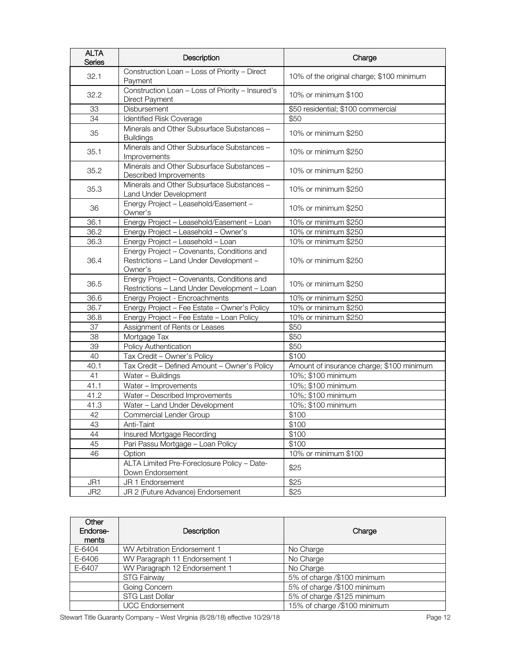| <b>ALTA</b><br>Series | Description                                                                                      | Charge                                    |
|-----------------------|--------------------------------------------------------------------------------------------------|-------------------------------------------|
| 32.1                  | Construction Loan - Loss of Priority - Direct<br>Payment                                         | 10% of the original charge; \$100 minimum |
| 32.2                  | Construction Loan - Loss of Priority - Insured's<br>Direct Payment                               | 10% or minimum \$100                      |
| 33                    | Disbursement                                                                                     | \$50 residential; \$100 commercial        |
| 34                    | Identified Risk Coverage                                                                         | \$50                                      |
| 35                    | Minerals and Other Subsurface Substances -<br><b>Buildings</b>                                   | 10% or minimum \$250                      |
| 35.1                  | Minerals and Other Subsurface Substances -<br>Improvements                                       | 10% or minimum \$250                      |
| 35.2                  | Minerals and Other Subsurface Substances -<br>Described Improvements                             | 10% or minimum \$250                      |
| 35.3                  | Minerals and Other Subsurface Substances -<br>Land Under Development                             | 10% or minimum \$250                      |
| 36                    | Energy Project - Leasehold/Easement -<br>Owner's                                                 | 10% or minimum \$250                      |
| 36.1                  | Energy Project - Leasehold/Easement - Loan                                                       | 10% or minimum \$250                      |
| 36.2                  | Energy Project - Leasehold - Owner's                                                             | 10% or minimum \$250                      |
| 36.3                  | Energy Project - Leasehold - Loan                                                                | 10% or minimum \$250                      |
| 36.4                  | Energy Project - Covenants, Conditions and<br>Restrictions - Land Under Development -<br>Owner's | 10% or minimum \$250                      |
| 36.5                  | Energy Project - Covenants, Conditions and<br>Restrictions - Land Under Development - Loan       | 10% or minimum \$250                      |
| 36.6                  | Energy Project - Encroachments                                                                   | 10% or minimum \$250                      |
| 36.7                  | Energy Project - Fee Estate - Owner's Policy                                                     | 10% or minimum \$250                      |
| 36.8                  | Energy Project - Fee Estate - Loan Policy                                                        | 10% or minimum \$250                      |
| 37                    | Assignment of Rents or Leases                                                                    | \$50                                      |
| 38                    | Mortgage Tax                                                                                     | \$50                                      |
| 39                    | Policy Authentication                                                                            | \$50                                      |
| 40                    | Tax Credit - Owner's Policy                                                                      | \$100                                     |
| 40.1                  | Tax Credit - Defined Amount - Owner's Policy                                                     | Amount of insurance charge; \$100 minimum |
| 41                    | Water - Buildings                                                                                | 10%; \$100 minimum                        |
| 41.1                  | Water - Improvements                                                                             | 10%; \$100 minimum                        |
| 41.2                  | Water - Described Improvements                                                                   | 10%; \$100 minimum                        |
| 41.3                  | Water - Land Under Development                                                                   | 10%; \$100 minimum                        |
| 42                    | Commercial Lender Group                                                                          | \$100                                     |
| 43                    | Anti-Taint                                                                                       | \$100                                     |
| 44                    | Insured Mortgage Recording                                                                       | \$100                                     |
| 45                    | Pari Passu Mortgage - Loan Policy                                                                | \$100                                     |
| 46                    | Option                                                                                           | 10% or minimum \$100                      |
|                       | ALTA Limited Pre-Foreclosure Policy - Date-<br>Down Endorsement                                  | \$25                                      |
| JR1                   | JR 1 Endorsement                                                                                 | \$25                                      |
| JR <sub>2</sub>       | JR 2 (Future Advance) Endorsement                                                                | \$25                                      |

| Other<br>Endorse-<br>ments | Description                   | Charge                       |
|----------------------------|-------------------------------|------------------------------|
| E-6404                     | WV Arbitration Endorsement 1  | No Charge                    |
| E-6406                     | WV Paragraph 11 Endorsement 1 | No Charge                    |
| E-6407                     | WV Paragraph 12 Endorsement 1 | No Charge                    |
|                            | <b>STG Fairway</b>            | 5% of charge /\$100 minimum  |
|                            | Going Concern                 | 5% of charge /\$100 minimum  |
|                            | <b>STG Last Dollar</b>        | 5% of charge /\$125 minimum  |
|                            | <b>UCC Endorsement</b>        | 15% of charge /\$100 minimum |

Stewart Title Guaranty Company - West Virginia (8/28/18) effective 10/29/18 Page 12